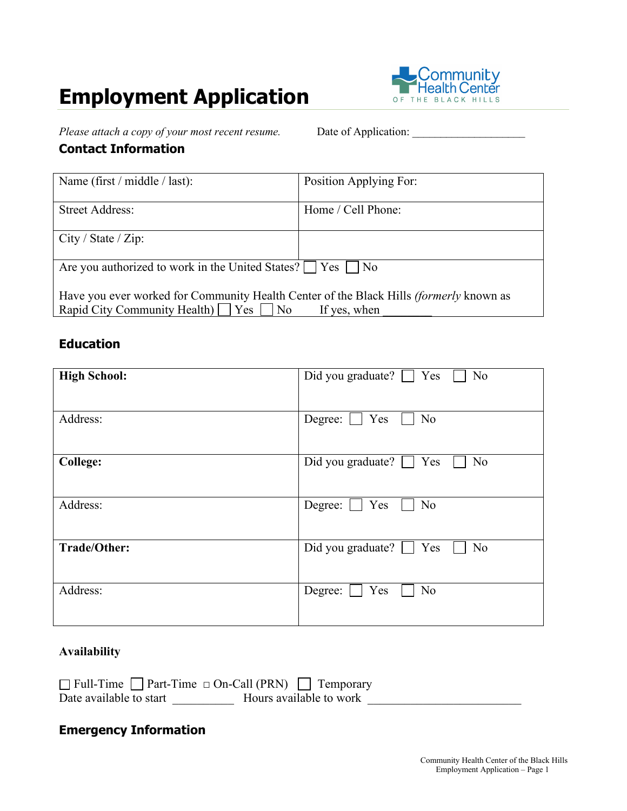# **Employment Application**



*Please attach a copy of your most recent resume.* Date of Application: \_\_\_\_\_\_\_\_\_\_\_\_\_\_\_\_\_\_\_\_

#### **Contact Information**

| Name (first / middle / last):                                                                                                                      | Position Applying For: |
|----------------------------------------------------------------------------------------------------------------------------------------------------|------------------------|
| <b>Street Address:</b>                                                                                                                             | Home / Cell Phone:     |
| City / State / Zip:                                                                                                                                |                        |
| Are you authorized to work in the United States?     Yes     No                                                                                    |                        |
| Have you ever worked for Community Health Center of the Black Hills <i>(formerly</i> known as<br>Rapid City Community Health) $\Box$ Yes $\Box$ No | If yes, when           |

#### **Education**

| <b>High School:</b> | N <sub>o</sub><br>Did you graduate? $\Box$ Yes          |
|---------------------|---------------------------------------------------------|
| Address:            | Yes<br>N <sub>o</sub><br>Degree:                        |
| <b>College:</b>     | <b>No</b><br>Did you graduate? [<br>Yes<br>$\mathbf{I}$ |
| Address:            | N <sub>o</sub><br>Yes<br>Degree:                        |
| Trade/Other:        | <b>No</b><br>Did you graduate? $\Box$ Yes               |
| Address:            | Yes<br>N <sub>o</sub><br>Degree:                        |

#### **Availability**

| $\Box$ Full-Time $\Box$ Part-Time $\Box$ On-Call (PRN) $\Box$ Temporary |                         |
|-------------------------------------------------------------------------|-------------------------|
| Date available to start                                                 | Hours available to work |

#### **Emergency Information**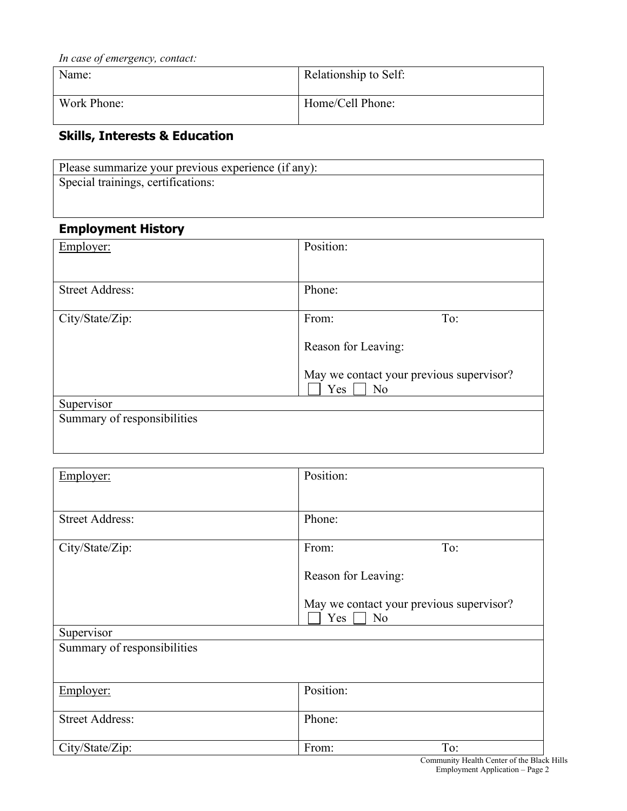| In case of emergency, contact: |                       |
|--------------------------------|-----------------------|
| Name:                          | Relationship to Self: |
|                                |                       |
| Work Phone:                    | Home/Cell Phone:      |

## **Skills, Interests & Education**

| Please summarize your previous experience (if any): |
|-----------------------------------------------------|
| Special trainings, certifications:                  |
|                                                     |

### **Employment History**

| Employer:                   | Position:                                                         |
|-----------------------------|-------------------------------------------------------------------|
|                             |                                                                   |
| <b>Street Address:</b>      | Phone:                                                            |
| City/State/Zip:             | To:<br>From:                                                      |
|                             |                                                                   |
|                             | Reason for Leaving:                                               |
|                             | May we contact your previous supervisor?<br>Yes<br>N <sub>o</sub> |
| Supervisor                  |                                                                   |
| Summary of responsibilities |                                                                   |
|                             |                                                                   |

| <b>Street Address:</b><br>Phone:<br>To:<br>City/State/Zip:<br>From:     |  |
|-------------------------------------------------------------------------|--|
|                                                                         |  |
|                                                                         |  |
|                                                                         |  |
| Reason for Leaving:                                                     |  |
| May we contact your previous supervisor?<br>Yes<br>N <sub>o</sub>       |  |
| Supervisor                                                              |  |
| Summary of responsibilities                                             |  |
|                                                                         |  |
| Position:<br>Employer:                                                  |  |
| <b>Street Address:</b><br>Phone:                                        |  |
| To:<br>City/State/Zip:<br>From:<br>Community Health Center of the Black |  |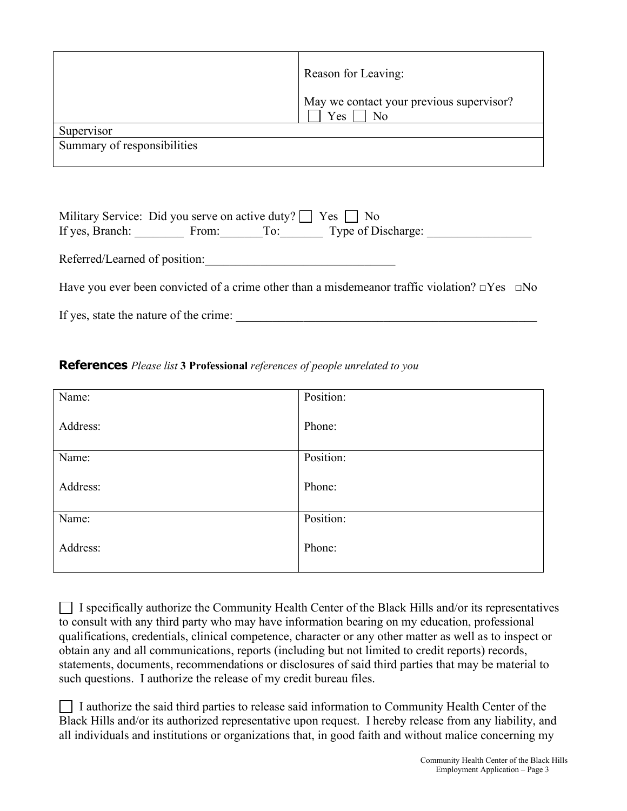|                             | Reason for Leaving:                                   |
|-----------------------------|-------------------------------------------------------|
|                             | May we contact your previous supervisor?<br>Yes<br>No |
| Supervisor                  |                                                       |
| Summary of responsibilities |                                                       |

|                               | Military Service: Did you serve on active duty?   Yes   No |                        |  |
|-------------------------------|------------------------------------------------------------|------------------------|--|
| If yes, Branch:               | From:                                                      | To: Type of Discharge: |  |
| Referred/Learned of position: |                                                            |                        |  |
|                               |                                                            |                        |  |

Have you ever been convicted of a crime other than a misdemeanor traffic violation? □Yes □No

If yes, state the nature of the crime:

#### **References** *Please list* **3 Professional** *references of people unrelated to you*

| Name:    | Position: |
|----------|-----------|
| Address: | Phone:    |
| Name:    | Position: |
| Address: | Phone:    |
| Name:    | Position: |
| Address: | Phone:    |

 $\Box$  I specifically authorize the Community Health Center of the Black Hills and/or its representatives to consult with any third party who may have information bearing on my education, professional qualifications, credentials, clinical competence, character or any other matter as well as to inspect or obtain any and all communications, reports (including but not limited to credit reports) records, statements, documents, recommendations or disclosures of said third parties that may be material to such questions. I authorize the release of my credit bureau files.

| $\Box$ I authorize the said third parties to release said information to Community Health Center of the |
|---------------------------------------------------------------------------------------------------------|
| Black Hills and/or its authorized representative upon request. I hereby release from any liability, and |
| all individuals and institutions or organizations that, in good faith and without malice concerning my  |